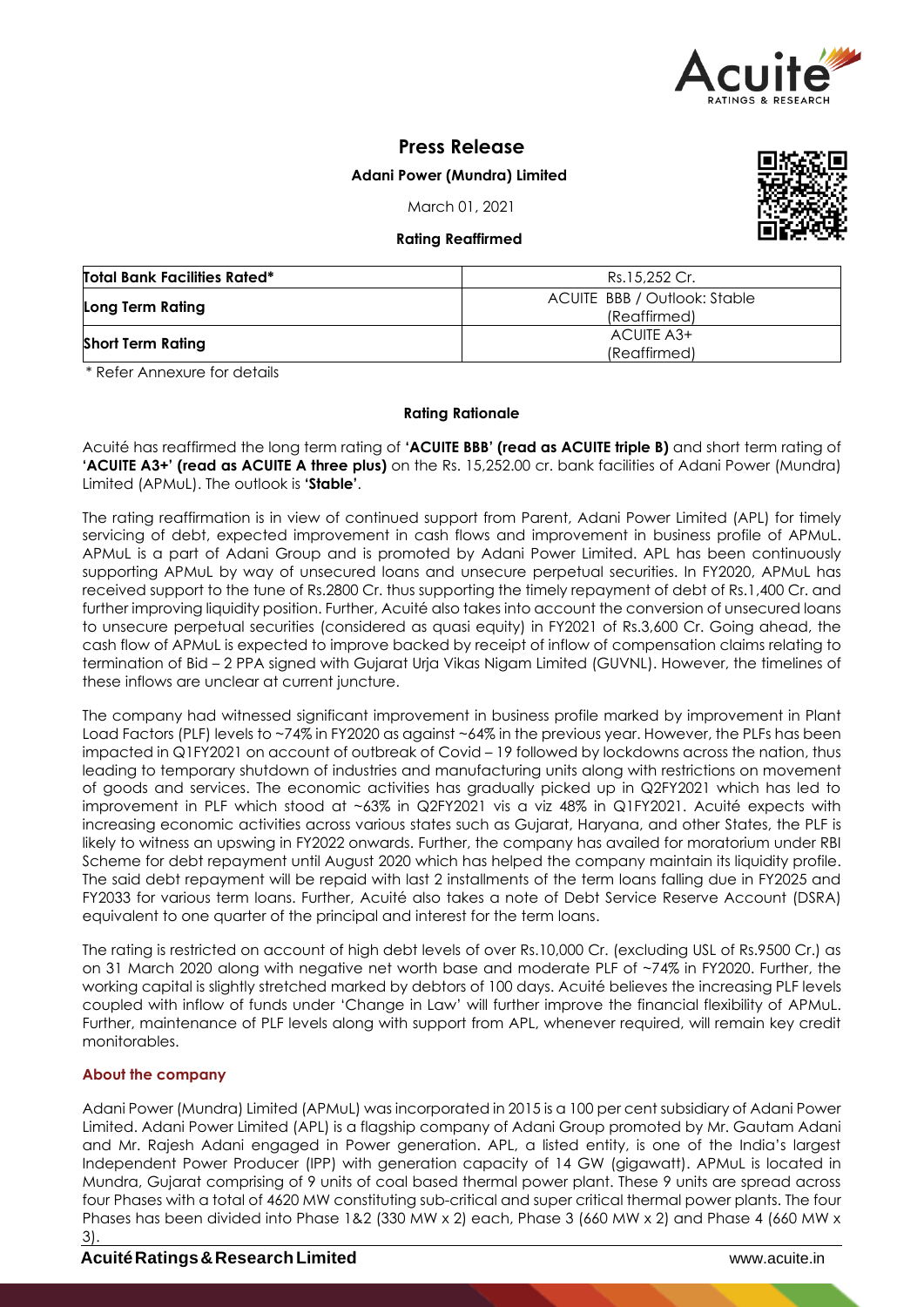

# **Press Release**

## **Adani Power (Mundra) Limited**

March 01, 2021

## **Rating Reaffirmed**



| <b>Total Bank Facilities Rated*</b> | Rs.15,252 Cr.                                |
|-------------------------------------|----------------------------------------------|
| Long Term Rating                    | ACUITE BBB / Outlook: Stable<br>(Reaffirmed) |
| <b>Short Term Rating</b>            | ACUITE A3+<br>(Reaffirmed)                   |

\* Refer Annexure for details

## **Rating Rationale**

Acuité has reaffirmed the long term rating of **'ACUITE BBB' (read as ACUITE triple B)** and short term rating of **'ACUITE A3+' (read as ACUITE A three plus)** on the Rs. 15,252.00 cr. bank facilities of Adani Power (Mundra) Limited (APMuL). The outlook is **'Stable'**.

The rating reaffirmation is in view of continued support from Parent, Adani Power Limited (APL) for timely servicing of debt, expected improvement in cash flows and improvement in business profile of APMuL. APMuL is a part of Adani Group and is promoted by Adani Power Limited. APL has been continuously supporting APMuL by way of unsecured loans and unsecure perpetual securities. In FY2020, APMuL has received support to the tune of Rs.2800 Cr. thus supporting the timely repayment of debt of Rs.1,400 Cr. and further improving liquidity position. Further, Acuité also takes into account the conversion of unsecured loans to unsecure perpetual securities (considered as quasi equity) in FY2021 of Rs.3,600 Cr. Going ahead, the cash flow of APMuL is expected to improve backed by receipt of inflow of compensation claims relating to termination of Bid – 2 PPA signed with Gujarat Urja Vikas Nigam Limited (GUVNL). However, the timelines of these inflows are unclear at current juncture.

The company had witnessed significant improvement in business profile marked by improvement in Plant Load Factors (PLF) levels to ~74% in FY2020 as against ~64% in the previous year. However, the PLFs has been impacted in Q1FY2021 on account of outbreak of Covid – 19 followed by lockdowns across the nation, thus leading to temporary shutdown of industries and manufacturing units along with restrictions on movement of goods and services. The economic activities has gradually picked up in Q2FY2021 which has led to improvement in PLF which stood at ~63% in Q2FY2021 vis a viz 48% in Q1FY2021. Acuité expects with increasing economic activities across various states such as Gujarat, Haryana, and other States, the PLF is likely to witness an upswing in FY2022 onwards. Further, the company has availed for moratorium under RBI Scheme for debt repayment until August 2020 which has helped the company maintain its liquidity profile. The said debt repayment will be repaid with last 2 installments of the term loans falling due in FY2025 and FY2033 for various term loans. Further, Acuité also takes a note of Debt Service Reserve Account (DSRA) equivalent to one quarter of the principal and interest for the term loans.

The rating is restricted on account of high debt levels of over Rs.10,000 Cr. (excluding USL of Rs.9500 Cr.) as on 31 March 2020 along with negative net worth base and moderate PLF of ~74% in FY2020. Further, the working capital is slightly stretched marked by debtors of 100 days. Acuité believes the increasing PLF levels coupled with inflow of funds under 'Change in Law' will further improve the financial flexibility of APMuL. Further, maintenance of PLF levels along with support from APL, whenever required, will remain key credit monitorables.

# **About the company**

Adani Power (Mundra) Limited (APMuL) was incorporated in 2015 is a 100 per cent subsidiary of Adani Power Limited. Adani Power Limited (APL) is a flagship company of Adani Group promoted by Mr. Gautam Adani and Mr. Rajesh Adani engaged in Power generation. APL, a listed entity, is one of the India's largest Independent Power Producer (IPP) with generation capacity of 14 GW (gigawatt). APMuL is located in Mundra, Gujarat comprising of 9 units of coal based thermal power plant. These 9 units are spread across four Phases with a total of 4620 MW constituting sub-critical and super critical thermal power plants. The four Phases has been divided into Phase 1&2 (330 MW x 2) each, Phase 3 (660 MW x 2) and Phase 4 (660 MW x 3).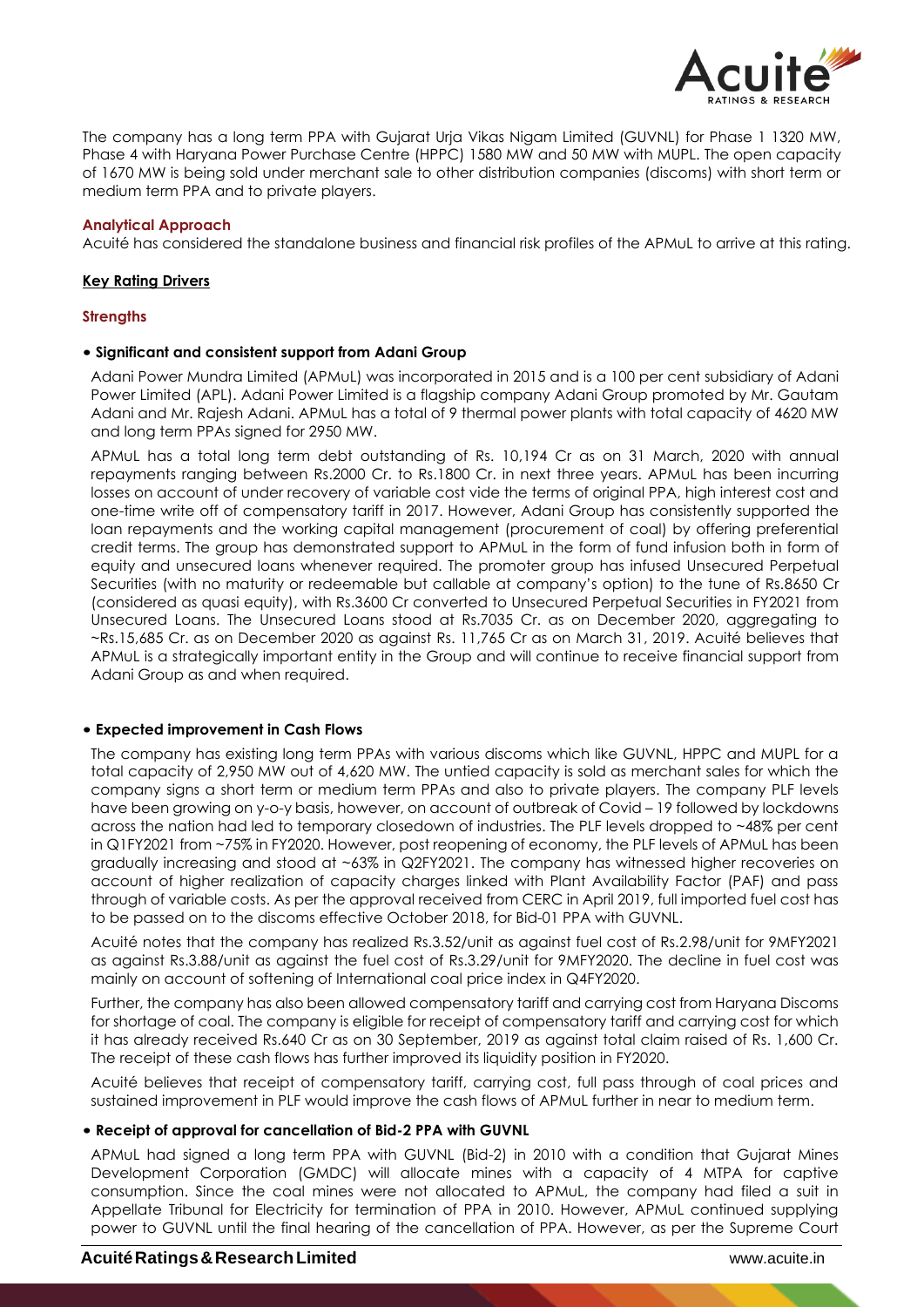

The company has a long term PPA with Gujarat Urja Vikas Nigam Limited (GUVNL) for Phase 1 1320 MW, Phase 4 with Haryana Power Purchase Centre (HPPC) 1580 MW and 50 MW with MUPL. The open capacity of 1670 MW is being sold under merchant sale to other distribution companies (discoms) with short term or medium term PPA and to private players.

## **Analytical Approach**

Acuité has considered the standalone business and financial risk profiles of the APMuL to arrive at this rating.

## **Key Rating Drivers**

## **Strengths**

## • **Significant and consistent support from Adani Group**

Adani Power Mundra Limited (APMuL) was incorporated in 2015 and is a 100 per cent subsidiary of Adani Power Limited (APL). Adani Power Limited is a flagship company Adani Group promoted by Mr. Gautam Adani and Mr. Rajesh Adani. APMuL has a total of 9 thermal power plants with total capacity of 4620 MW and long term PPAs signed for 2950 MW.

APMuL has a total long term debt outstanding of Rs. 10,194 Cr as on 31 March, 2020 with annual repayments ranging between Rs.2000 Cr. to Rs.1800 Cr. in next three years. APMuL has been incurring losses on account of under recovery of variable cost vide the terms of original PPA, high interest cost and one-time write off of compensatory tariff in 2017. However, Adani Group has consistently supported the loan repayments and the working capital management (procurement of coal) by offering preferential credit terms. The group has demonstrated support to APMuL in the form of fund infusion both in form of equity and unsecured loans whenever required. The promoter group has infused Unsecured Perpetual Securities (with no maturity or redeemable but callable at company's option) to the tune of Rs.8650 Cr (considered as quasi equity), with Rs.3600 Cr converted to Unsecured Perpetual Securities in FY2021 from Unsecured Loans. The Unsecured Loans stood at Rs.7035 Cr. as on December 2020, aggregating to ~Rs.15,685 Cr. as on December 2020 as against Rs. 11,765 Cr as on March 31, 2019. Acuité believes that APMuL is a strategically important entity in the Group and will continue to receive financial support from Adani Group as and when required.

## • **Expected improvement in Cash Flows**

The company has existing long term PPAs with various discoms which like GUVNL, HPPC and MUPL for a total capacity of 2,950 MW out of 4,620 MW. The untied capacity is sold as merchant sales for which the company signs a short term or medium term PPAs and also to private players. The company PLF levels have been growing on y-o-y basis, however, on account of outbreak of Covid – 19 followed by lockdowns across the nation had led to temporary closedown of industries. The PLF levels dropped to ~48% per cent in Q1FY2021 from ~75% in FY2020. However, post reopening of economy, the PLF levels of APMuL has been gradually increasing and stood at ~63% in Q2FY2021. The company has witnessed higher recoveries on account of higher realization of capacity charges linked with Plant Availability Factor (PAF) and pass through of variable costs. As per the approval received from CERC in April 2019, full imported fuel cost has to be passed on to the discoms effective October 2018, for Bid-01 PPA with GUVNL.

Acuité notes that the company has realized Rs.3.52/unit as against fuel cost of Rs.2.98/unit for 9MFY2021 as against Rs.3.88/unit as against the fuel cost of Rs.3.29/unit for 9MFY2020. The decline in fuel cost was mainly on account of softening of International coal price index in Q4FY2020.

Further, the company has also been allowed compensatory tariff and carrying cost from Haryana Discoms for shortage of coal. The company is eligible for receipt of compensatory tariff and carrying cost for which it has already received Rs.640 Cr as on 30 September, 2019 as against total claim raised of Rs. 1,600 Cr. The receipt of these cash flows has further improved its liquidity position in FY2020.

Acuité believes that receipt of compensatory tariff, carrying cost, full pass through of coal prices and sustained improvement in PLF would improve the cash flows of APMuL further in near to medium term.

## • **Receipt of approval for cancellation of Bid-2 PPA with GUVNL**

APMuL had signed a long term PPA with GUVNL (Bid-2) in 2010 with a condition that Gujarat Mines Development Corporation (GMDC) will allocate mines with a capacity of 4 MTPA for captive consumption. Since the coal mines were not allocated to APMuL, the company had filed a suit in Appellate Tribunal for Electricity for termination of PPA in 2010. However, APMuL continued supplying power to GUVNL until the final hearing of the cancellation of PPA. However, as per the Supreme Court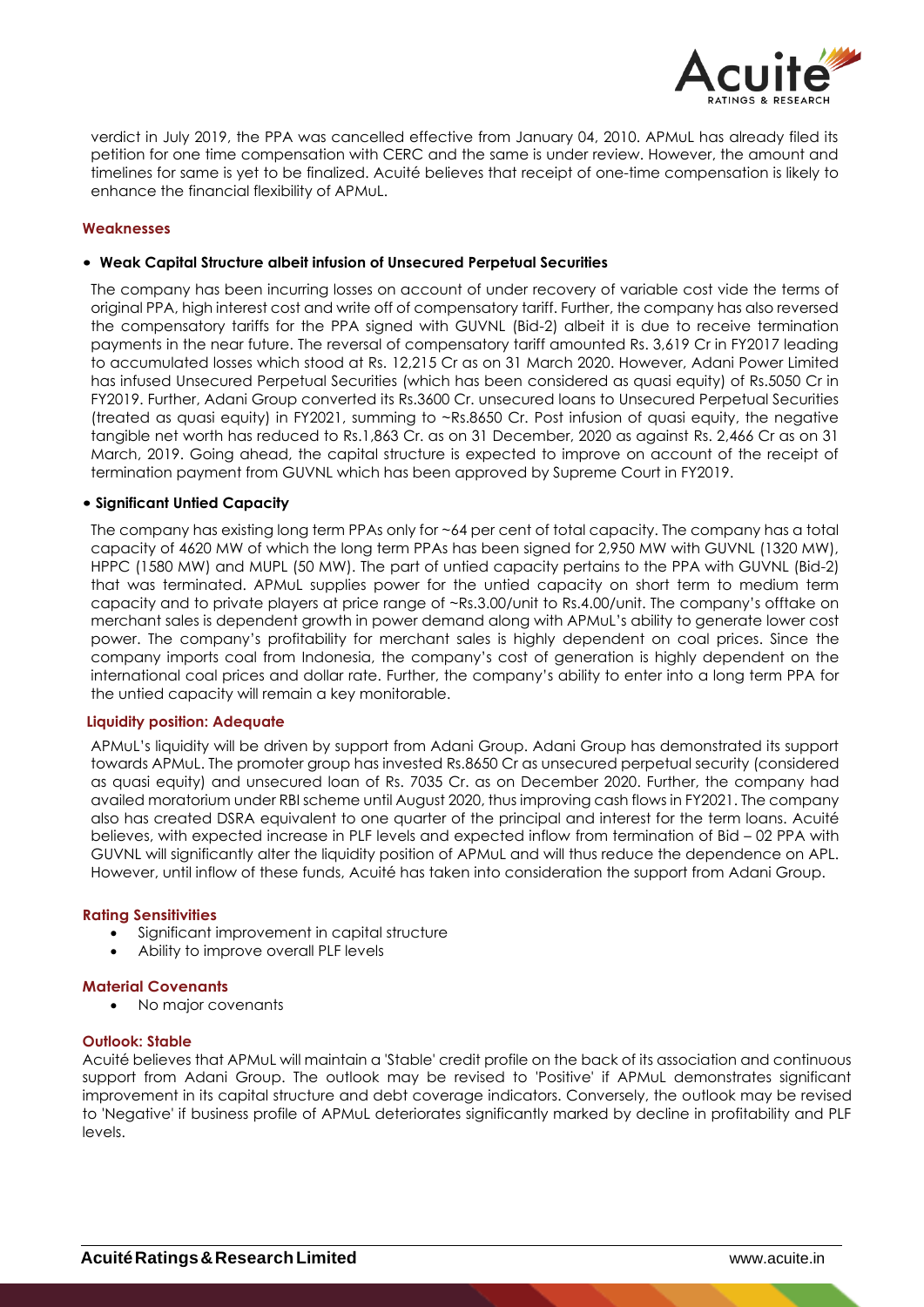

verdict in July 2019, the PPA was cancelled effective from January 04, 2010. APMuL has already filed its petition for one time compensation with CERC and the same is under review. However, the amount and timelines for same is yet to be finalized. Acuité believes that receipt of one-time compensation is likely to enhance the financial flexibility of APMuL.

## **Weaknesses**

### • **Weak Capital Structure albeit infusion of Unsecured Perpetual Securities**

The company has been incurring losses on account of under recovery of variable cost vide the terms of original PPA, high interest cost and write off of compensatory tariff. Further, the company has also reversed the compensatory tariffs for the PPA signed with GUVNL (Bid-2) albeit it is due to receive termination payments in the near future. The reversal of compensatory tariff amounted Rs. 3,619 Cr in FY2017 leading to accumulated losses which stood at Rs. 12,215 Cr as on 31 March 2020. However, Adani Power Limited has infused Unsecured Perpetual Securities (which has been considered as quasi equity) of Rs.5050 Cr in FY2019. Further, Adani Group converted its Rs.3600 Cr. unsecured loans to Unsecured Perpetual Securities (treated as quasi equity) in FY2021, summing to ~Rs.8650 Cr. Post infusion of quasi equity, the negative tangible net worth has reduced to Rs.1,863 Cr. as on 31 December, 2020 as against Rs. 2,466 Cr as on 31 March, 2019. Going ahead, the capital structure is expected to improve on account of the receipt of termination payment from GUVNL which has been approved by Supreme Court in FY2019.

## • **Significant Untied Capacity**

The company has existing long term PPAs only for ~64 per cent of total capacity. The company has a total capacity of 4620 MW of which the long term PPAs has been signed for 2,950 MW with GUVNL (1320 MW), HPPC (1580 MW) and MUPL (50 MW). The part of untied capacity pertains to the PPA with GUVNL (Bid-2) that was terminated. APMuL supplies power for the untied capacity on short term to medium term capacity and to private players at price range of ~Rs.3.00/unit to Rs.4.00/unit. The company's offtake on merchant sales is dependent growth in power demand along with APMuL's ability to generate lower cost power. The company's profitability for merchant sales is highly dependent on coal prices. Since the company imports coal from Indonesia, the company's cost of generation is highly dependent on the international coal prices and dollar rate. Further, the company's ability to enter into a long term PPA for the untied capacity will remain a key monitorable.

### **Liquidity position: Adequate**

APMuL's liquidity will be driven by support from Adani Group. Adani Group has demonstrated its support towards APMuL. The promoter group has invested Rs.8650 Cr as unsecured perpetual security (considered as quasi equity) and unsecured loan of Rs. 7035 Cr. as on December 2020. Further, the company had availed moratorium under RBI scheme until August 2020, thus improving cash flows in FY2021. The company also has created DSRA equivalent to one quarter of the principal and interest for the term loans. Acuité believes, with expected increase in PLF levels and expected inflow from termination of Bid – 02 PPA with GUVNL will significantly alter the liquidity position of APMuL and will thus reduce the dependence on APL. However, until inflow of these funds, Acuité has taken into consideration the support from Adani Group.

### **Rating Sensitivities**

- Significant improvement in capital structure
- Ability to improve overall PLF levels

### **Material Covenants**

• No major covenants

### **Outlook: Stable**

Acuité believes that APMuL will maintain a 'Stable' credit profile on the back of its association and continuous support from Adani Group. The outlook may be revised to 'Positive' if APMuL demonstrates significant improvement in its capital structure and debt coverage indicators. Conversely, the outlook may be revised to 'Negative' if business profile of APMuL deteriorates significantly marked by decline in profitability and PLF levels.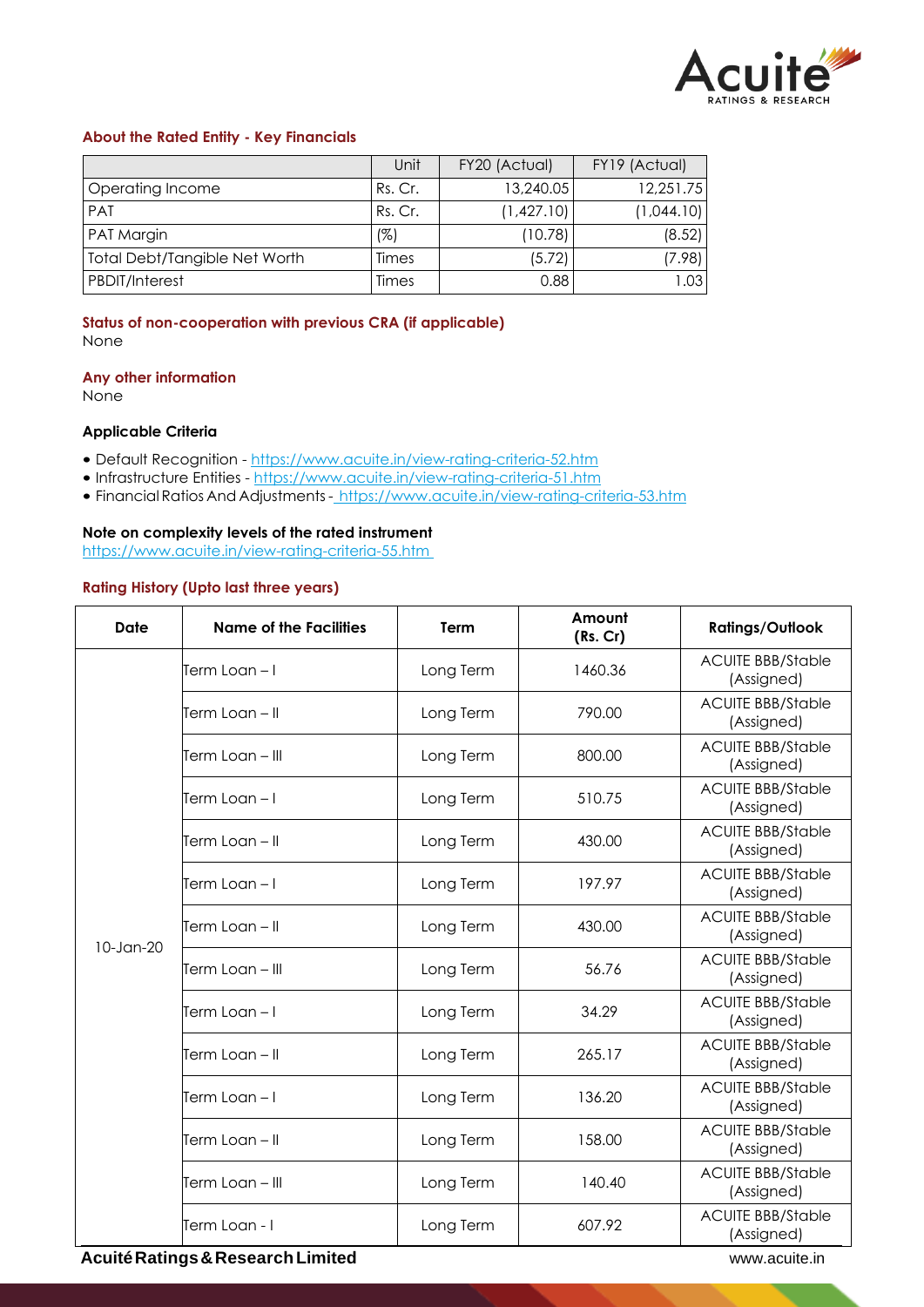

# **About the Rated Entity - Key Financials**

|                                      | Unit         | FY20 (Actual) | FY19 (Actual) |
|--------------------------------------|--------------|---------------|---------------|
| Operating Income                     | Rs. Cr.      | 13,240.05     | 12,251.75     |
| <b>PAT</b>                           | Rs. Cr.      | (1,427.10)    | (1,044.10)    |
| PAT Margin                           | (%)          | (10.78)       | (8.52)        |
| <b>Total Debt/Tangible Net Worth</b> | Times        | (5.72)        | (7.98)        |
| <b>PBDIT/Interest</b>                | <b>Times</b> | 0.88          | .03           |

## **Status of non-cooperation with previous CRA (if applicable)** None

### **Any other information**

None

## **Applicable Criteria**

- Default Recognition https://www.acuite.in/view-rating-criteria-52.htm
- Infrastructure Entities https://www.acuite.in/view-rating-criteria-51.htm
- Financial Ratios And Adjustments- https://www.acuite.in/view-rating-criteria-53.htm

## **Note on complexity levels of the rated instrument**

https://www.acuite.in/view-rating-criteria-55.htm

## **Rating History (Upto last three years)**

| Date            | <b>Name of the Facilities</b> | <b>Term</b> | Amount<br>(Rs. Cr) | <b>Ratings/Outlook</b>                 |
|-----------------|-------------------------------|-------------|--------------------|----------------------------------------|
|                 | Term Loan – I                 | Long Term   | 1460.36            | <b>ACUITE BBB/Stable</b><br>(Assigned) |
|                 | Ferm Loan – II                | Long Term   | 790.00             | <b>ACUITE BBB/Stable</b><br>(Assigned) |
|                 | Ferm Loan – III               | Long Term   | 800.00             | <b>ACUITE BBB/Stable</b><br>(Assigned) |
|                 | Term Loan – I                 | Long Term   | 510.75             | <b>ACUITE BBB/Stable</b><br>(Assigned) |
|                 | Ferm Loan – II                | Long Term   | 430.00             | <b>ACUITE BBB/Stable</b><br>(Assigned) |
|                 | Term Loan – I                 | Long Term   | 197.97             | <b>ACUITE BBB/Stable</b><br>(Assigned) |
| $10$ -Jan- $20$ | Term Loan – II                | Long Term   | 430.00             | <b>ACUITE BBB/Stable</b><br>(Assigned) |
|                 | Term Loan – III               | Long Term   | 56.76              | <b>ACUITE BBB/Stable</b><br>(Assigned) |
|                 | Ferm Loan – I                 | Long Term   | 34.29              | <b>ACUITE BBB/Stable</b><br>(Assigned) |
|                 | Term Loan – II                | Long Term   | 265.17             | <b>ACUITE BBB/Stable</b><br>(Assigned) |
|                 | Term Loan – I                 | Long Term   | 136.20             | <b>ACUITE BBB/Stable</b><br>(Assigned) |
|                 | Term Loan - Il                | Long Term   | 158.00             | <b>ACUITE BBB/Stable</b><br>(Assigned) |
|                 | Term Loan – III               | Long Term   | 140.40             | <b>ACUITE BBB/Stable</b><br>(Assigned) |
|                 | Term Loan - I                 | Long Term   | 607.92             | <b>ACUITE BBB/Stable</b><br>(Assigned) |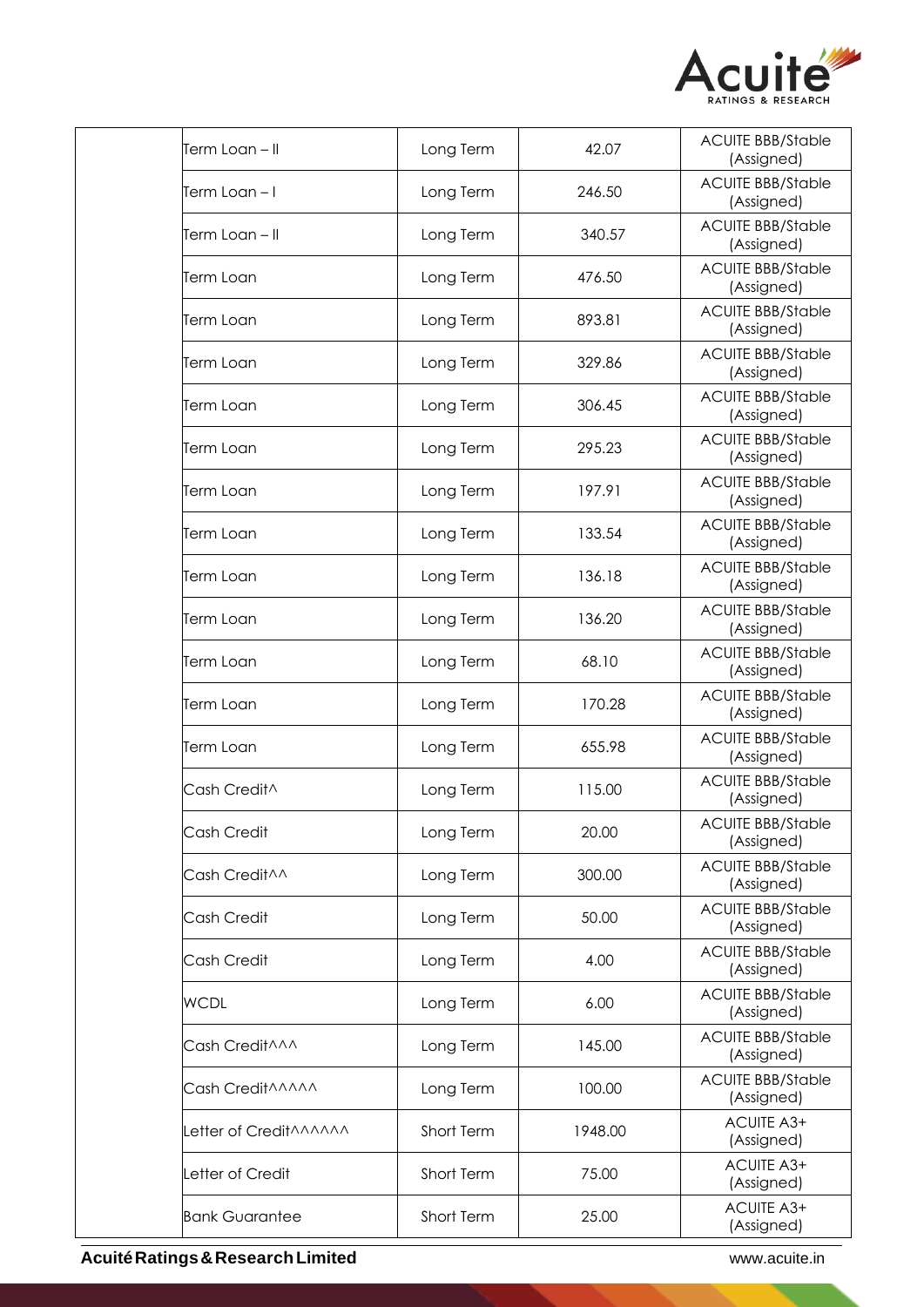

| Long Term  | 42.07   | <b>ACUITE BBB/Stable</b><br>(Assigned) |
|------------|---------|----------------------------------------|
| Long Term  | 246.50  | <b>ACUITE BBB/Stable</b><br>(Assigned) |
| Long Term  | 340.57  | <b>ACUITE BBB/Stable</b><br>(Assigned) |
| Long Term  | 476.50  | <b>ACUITE BBB/Stable</b><br>(Assigned) |
| Long Term  | 893.81  | <b>ACUITE BBB/Stable</b><br>(Assigned) |
| Long Term  | 329.86  | <b>ACUITE BBB/Stable</b><br>(Assigned) |
| Long Term  | 306.45  | <b>ACUITE BBB/Stable</b><br>(Assigned) |
| Long Term  | 295.23  | <b>ACUITE BBB/Stable</b><br>(Assigned) |
| Long Term  | 197.91  | <b>ACUITE BBB/Stable</b><br>(Assigned) |
| Long Term  | 133.54  | <b>ACUITE BBB/Stable</b><br>(Assigned) |
| Long Term  | 136.18  | <b>ACUITE BBB/Stable</b><br>(Assigned) |
| Long Term  | 136.20  | <b>ACUITE BBB/Stable</b><br>(Assigned) |
| Long Term  | 68.10   | <b>ACUITE BBB/Stable</b><br>(Assigned) |
| Long Term  | 170.28  | <b>ACUITE BBB/Stable</b><br>(Assigned) |
| Long Term  | 655.98  | <b>ACUITE BBB/Stable</b><br>(Assigned) |
| Long Term  | 115.00  | <b>ACUITE BBB/Stable</b><br>(Assigned) |
| Long Term  | 20.00   | <b>ACUITE BBB/Stable</b><br>(Assigned) |
| Long Term  | 300.00  | <b>ACUITE BBB/Stable</b><br>(Assigned) |
| Long Term  | 50.00   | <b>ACUITE BBB/Stable</b><br>(Assigned) |
| Long Term  | 4.00    | <b>ACUITE BBB/Stable</b><br>(Assigned) |
| Long Term  | 6.00    | <b>ACUITE BBB/Stable</b><br>(Assigned) |
| Long Term  | 145.00  | <b>ACUITE BBB/Stable</b><br>(Assigned) |
| Long Term  | 100.00  | <b>ACUITE BBB/Stable</b><br>(Assigned) |
| Short Term | 1948.00 | ACUITE A3+<br>(Assigned)               |
| Short Term | 75.00   | ACUITE A3+<br>(Assigned)               |
|            |         |                                        |
|            |         |                                        |

**AcuitéRatings&ResearchLimited** www.acuite.in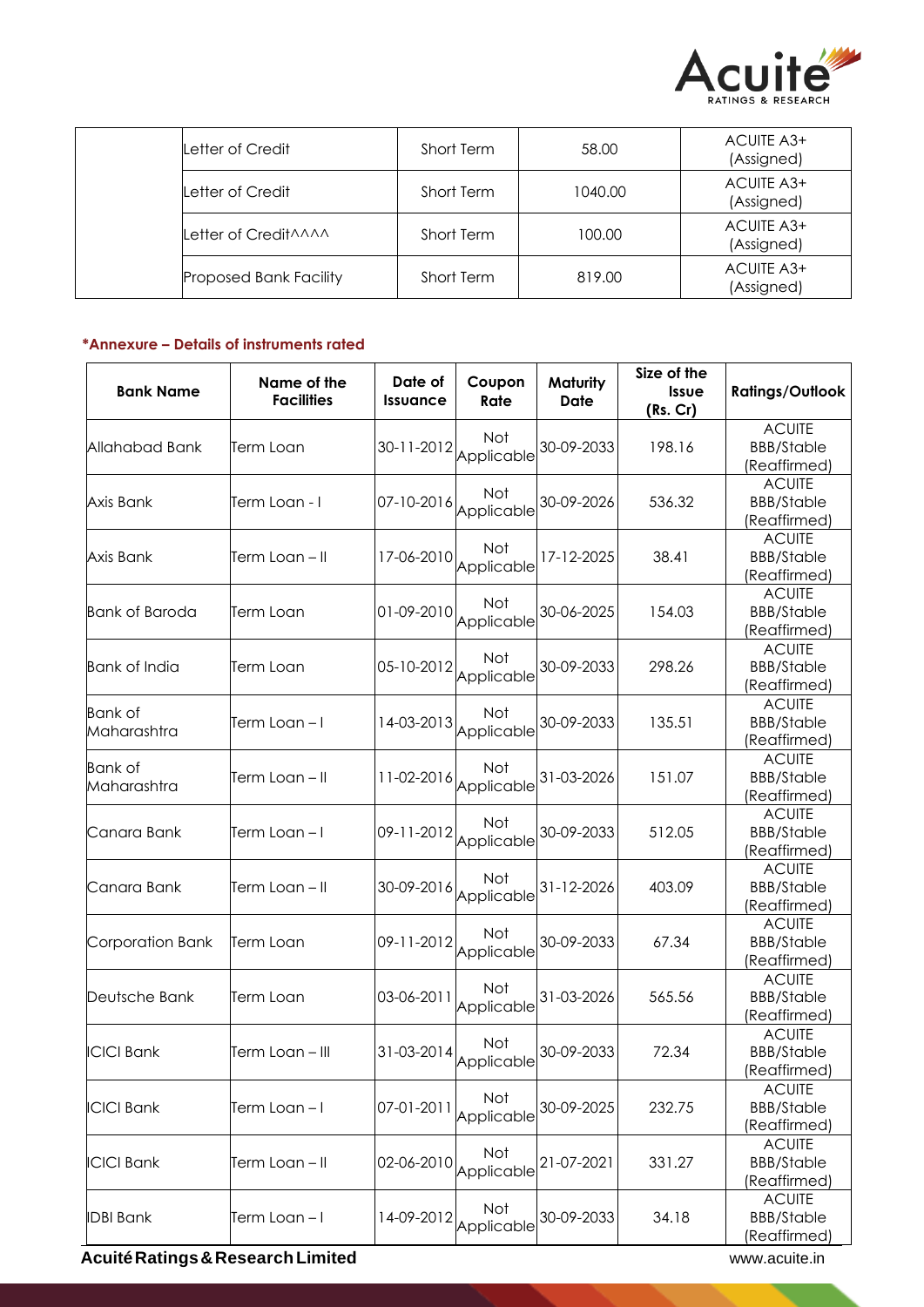

| Letter of Credit              | Short Term | 58.00   | ACUITE A3+<br>(Assigned) |
|-------------------------------|------------|---------|--------------------------|
| Letter of Credit              | Short Term | 1040.00 | ACUITE A3+<br>(Assigned) |
| Letter of Credit AAAA         | Short Term | 100.00  | ACUITE A3+<br>(Assigned) |
| <b>Proposed Bank Facility</b> | Short Term | 819.00  | ACUITE A3+<br>(Assigned) |

# **\*Annexure – Details of instruments rated**

| <b>Bank Name</b>              | Name of the<br><b>Facilities</b> | Date of<br><b>Issuance</b> | Coupon<br>Rate           | <b>Maturity</b><br>Date | Size of the<br>Issue<br>(Rs. Cr) | <b>Ratings/Outlook</b>                             |
|-------------------------------|----------------------------------|----------------------------|--------------------------|-------------------------|----------------------------------|----------------------------------------------------|
| Allahabad Bank                | Term Loan                        | 30-11-2012                 | Not<br>Applicable        | 30-09-2033              | 198.16                           | <b>ACUITE</b><br><b>BBB/Stable</b><br>(Reaffirmed) |
| Axis Bank                     | Term Loan - I                    | 07-10-2016                 | Not<br>Applicable        | 30-09-2026              | 536.32                           | <b>ACUITE</b><br><b>BBB/Stable</b><br>(Reaffirmed) |
| Axis Bank                     | Term Loan – II                   | 17-06-2010                 | Not<br>Applicable        | 17-12-2025              | 38.41                            | <b>ACUITE</b><br><b>BBB/Stable</b><br>(Reaffirmed) |
| <b>Bank of Baroda</b>         | Term Loan                        | 01-09-2010                 | Not<br>Applicable        | 30-06-2025              | 154.03                           | <b>ACUITE</b><br><b>BBB/Stable</b><br>(Reaffirmed) |
| <b>Bank of India</b>          | Term Loan                        | 05-10-2012                 | Not<br>Applicable        | 30-09-2033              | 298.26                           | <b>ACUITE</b><br><b>BBB/Stable</b><br>(Reaffirmed) |
| <b>Bank of</b><br>Maharashtra | Term Loan – I                    | 14-03-2013                 | Not<br>Applicable        | 30-09-2033              | 135.51                           | <b>ACUITE</b><br><b>BBB/Stable</b><br>(Reaffirmed) |
| <b>Bank</b> of<br>Maharashtra | Term Loan – II                   | 11-02-2016                 | Not<br>Applicable        | 31-03-2026              | 151.07                           | <b>ACUITE</b><br><b>BBB/Stable</b><br>(Reaffirmed) |
| Canara Bank                   | Term Loan – I                    | 09-11-2012                 | Not<br>Applicable        | 30-09-2033              | 512.05                           | <b>ACUITE</b><br><b>BBB/Stable</b><br>(Reaffirmed) |
| Canara Bank                   | Term Loan – II                   | 30-09-2016                 | <b>Not</b><br>Applicable | 31-12-2026              | 403.09                           | <b>ACUITE</b><br><b>BBB/Stable</b><br>(Reaffirmed) |
| Corporation Bank              | ferm Loan                        | 09-11-2012                 | Not<br>Applicable        | 30-09-2033              | 67.34                            | <b>ACUITE</b><br><b>BBB/Stable</b><br>(Reaffirmed) |
| Deutsche Bank                 | Term Loan                        | 03-06-2011                 | Not<br>Applicable        | 31-03-2026              | 565.56                           | <b>ACUITE</b><br><b>BBB/Stable</b><br>(Reaffirmed) |
| <b>ICICI Bank</b>             | Term Loan – III                  | 31-03-2014                 | Not<br>Applicable        | 30-09-2033              | 72.34                            | <b>ACUITE</b><br><b>BBB/Stable</b><br>(Reaffirmed) |
| <b>ICICI Bank</b>             | Term Loan – I                    | 07-01-2011                 | Not<br>Applicable        | 30-09-2025              | 232.75                           | <b>ACUITE</b><br><b>BBB/Stable</b><br>(Reaffirmed) |
| <b>ICICI Bank</b>             | Term Loan – II                   | 02-06-2010                 | Not<br>Applicable        | 21-07-2021              | 331.27                           | <b>ACUITE</b><br><b>BBB/Stable</b><br>(Reaffirmed) |
| <b>IDBI Bank</b>              | Term Loan – I                    | 14-09-2012                 | Not<br>Applicable        | 30-09-2033              | 34.18                            | <b>ACUITE</b><br><b>BBB/Stable</b><br>(Reaffirmed) |

**Acuité Ratings & Research Limited Water Street Acuité Ratings & Research Limited**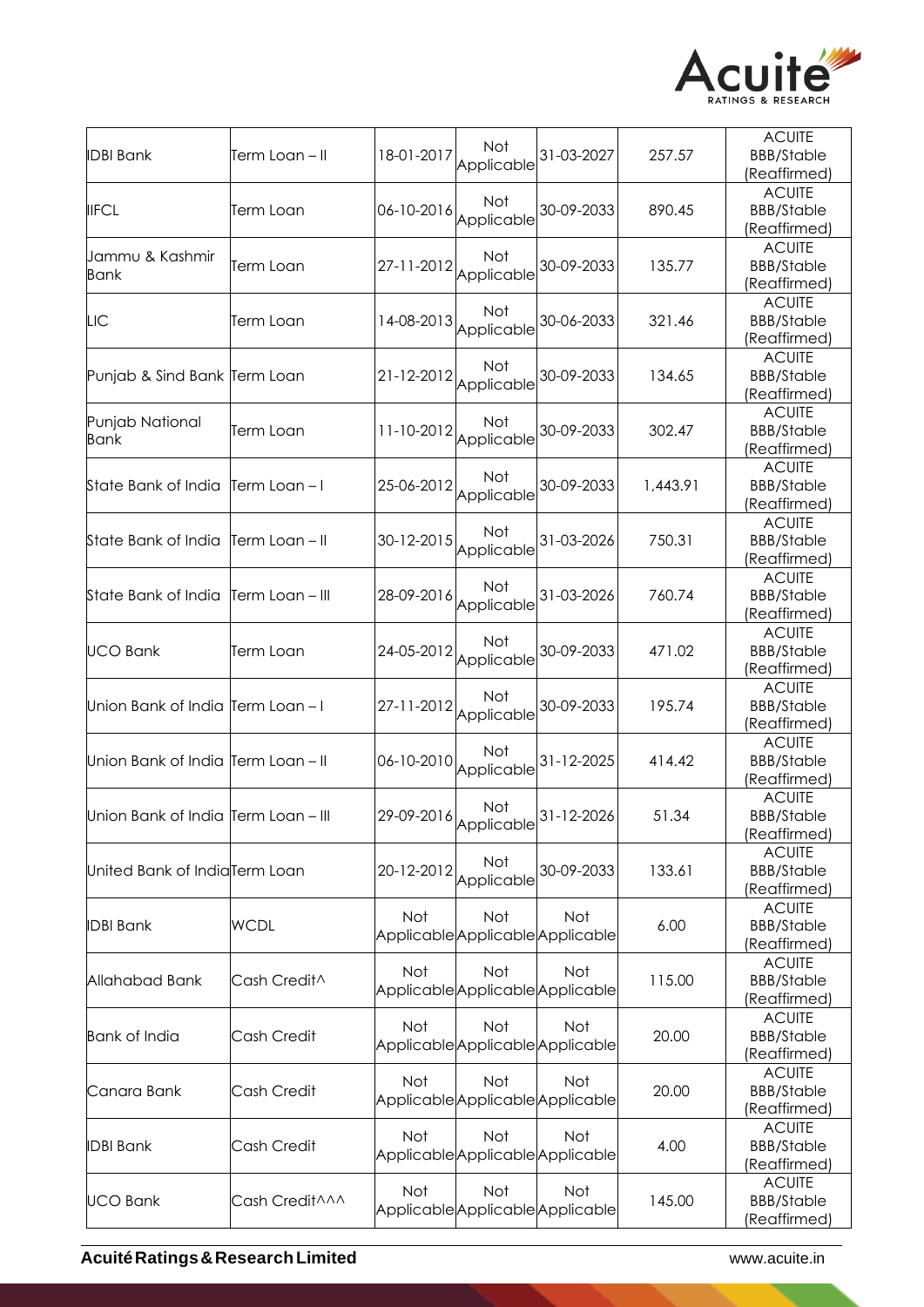

| <b>IDBI Bank</b>                    | Term Loan – II  | 18-01-2017 | Not<br>Applicable                     | 31-03-2027                                     | 257.57   | <b>ACUITE</b><br><b>BBB/Stable</b><br>(Reaffirmed) |
|-------------------------------------|-----------------|------------|---------------------------------------|------------------------------------------------|----------|----------------------------------------------------|
| <b>IIFCL</b>                        | Term Loan       | 06-10-2016 | Not<br>Applicable                     | 30-09-2033                                     | 890.45   | <b>ACUITE</b><br><b>BBB/Stable</b><br>(Reaffirmed) |
| Jammu & Kashmir<br>Bank             | Term Loan       | 27-11-2012 | <b>Not</b><br>Applicable              | 30-09-2033                                     | 135.77   | <b>ACUITE</b><br><b>BBB/Stable</b><br>(Reaffirmed) |
| LIC                                 | Term Loan       | 14-08-2013 | Not<br>Applicable                     | 30-06-2033                                     | 321.46   | <b>ACUITE</b><br><b>BBB/Stable</b><br>(Reaffirmed) |
| Punjab & Sind Bank Term Loan        |                 |            | <b>Not</b><br>21-12-2012   Applicable | 30-09-2033                                     | 134.65   | <b>ACUITE</b><br><b>BBB/Stable</b><br>(Reaffirmed) |
| Punjab National<br><b>Bank</b>      | Term Loan       | 11-10-2012 | <b>Not</b><br>Applicable              | 30-09-2033                                     | 302.47   | <b>ACUITE</b><br><b>BBB/Stable</b><br>(Reaffirmed) |
| State Bank of India                 | Term Loan – I   | 25-06-2012 | Not<br>Applicable                     | 30-09-2033                                     | 1,443.91 | <b>ACUITE</b><br><b>BBB/Stable</b><br>(Reaffirmed) |
| State Bank of India                 | Term Loan – II  | 30-12-2015 | Not<br>Applicable                     | 31-03-2026                                     | 750.31   | <b>ACUITE</b><br><b>BBB/Stable</b><br>(Reaffirmed) |
| State Bank of India                 | Term Loan – III | 28-09-2016 | <b>Not</b><br>Applicable              | 31-03-2026                                     | 760.74   | <b>ACUITE</b><br><b>BBB/Stable</b><br>(Reaffirmed) |
| <b>UCO Bank</b>                     | Term Loan       | 24-05-2012 | Not<br>Applicable                     | 30-09-2033                                     | 471.02   | <b>ACUITE</b><br><b>BBB/Stable</b><br>(Reaffirmed) |
| Union Bank of India Term Loan - I   |                 | 27-11-2012 | <b>Not</b><br>Applicable              | 30-09-2033                                     | 195.74   | <b>ACUITE</b><br><b>BBB/Stable</b><br>(Reaffirmed) |
| Union Bank of India Term Loan - II  |                 | 06-10-2010 | <b>Not</b><br>Applicable              | 31-12-2025                                     | 414.42   | <b>ACUITE</b><br><b>BBB/Stable</b><br>(Reaffirmed) |
| Union Bank of India Term Loan - III |                 |            | Not                                   | 29-09-2016 Applicable 31-12-2026               | 51.34    | <b>ACUITE</b><br><b>BBB/Stable</b><br>(Reaffirmed) |
| United Bank of IndialTerm Loan      |                 | 20-12-2012 | Not<br>Applicable                     | 30-09-2033                                     | 133.61   | <b>ACUITE</b><br><b>BBB/Stable</b><br>(Reaffirmed) |
| <b>IDBI Bank</b>                    | <b>WCDL</b>     | Not        | Not                                   | <b>Not</b><br>Applicable Applicable Applicable | 6.00     | <b>ACUITE</b><br><b>BBB/Stable</b><br>(Reaffirmed) |
| Allahabad Bank                      | Cash Credit^    | <b>Not</b> | Not                                   | Not<br>Applicable Applicable Applicable        | 115.00   | <b>ACUITE</b><br><b>BBB/Stable</b><br>(Reaffirmed) |
| <b>Bank of India</b>                | Cash Credit     | <b>Not</b> | Not                                   | Not<br>Applicable Applicable Applicable        | 20.00    | <b>ACUITE</b><br><b>BBB/Stable</b><br>(Reaffirmed) |
| Canara Bank                         | Cash Credit     | <b>Not</b> | Not                                   | Not<br>Applicable Applicable Applicable        | 20.00    | <b>ACUITE</b><br><b>BBB/Stable</b><br>(Reaffirmed) |
| <b>IDBI Bank</b>                    | Cash Credit     | <b>Not</b> | Not                                   | Not<br>Applicable Applicable Applicable        | 4.00     | <b>ACUITE</b><br><b>BBB/Stable</b><br>(Reaffirmed) |
| <b>UCO Bank</b>                     | Cash Credit^^^  | Not        | Not                                   | Not<br>Applicable Applicable Applicable        | 145.00   | <b>ACUITE</b><br><b>BBB/Stable</b><br>(Reaffirmed) |